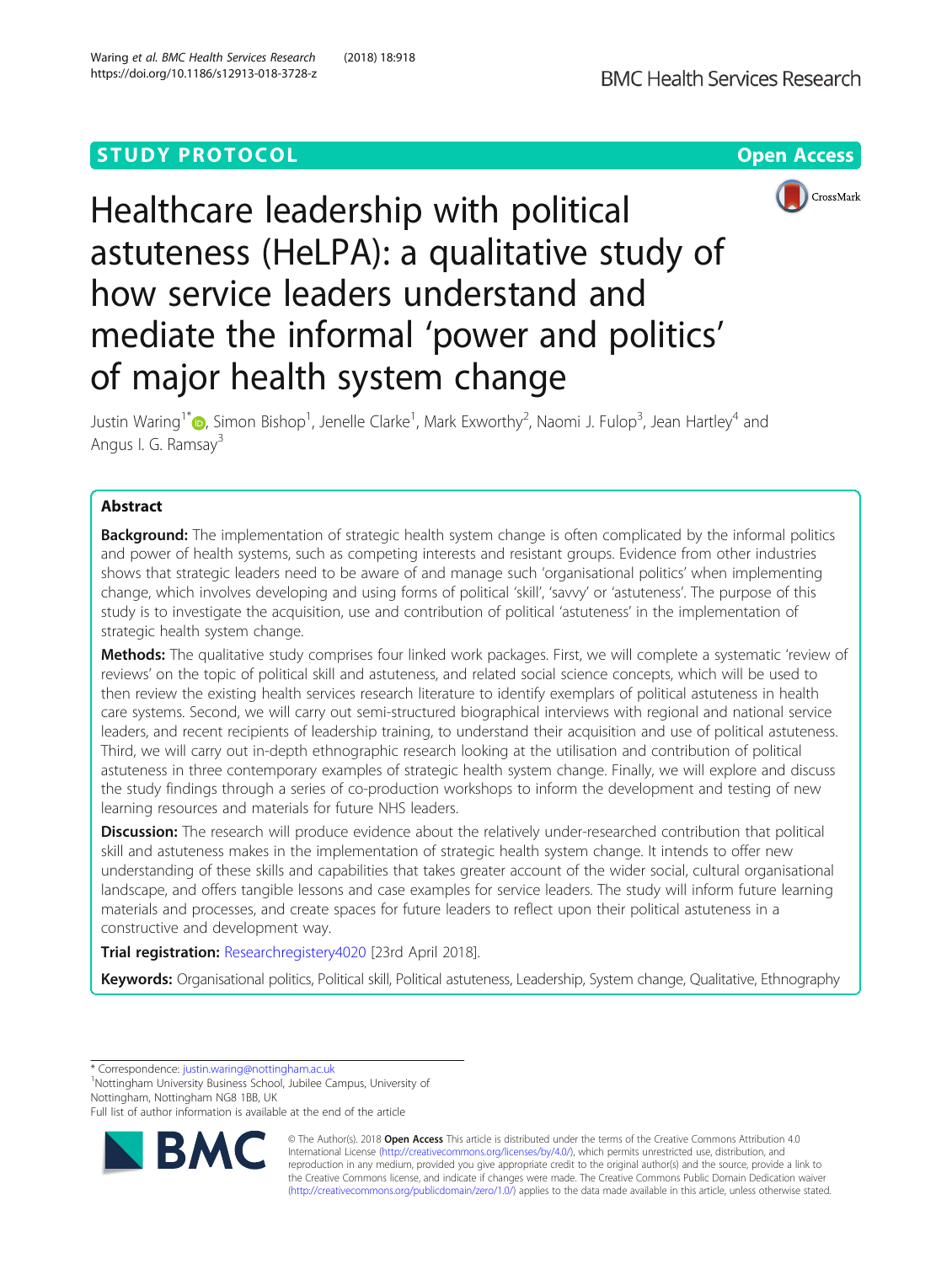## **STUDY PROTOCOL CONSUMING THE RESERVE ACCESS**





# Healthcare leadership with political astuteness (HeLPA): a qualitative study of how service leaders understand and mediate the informal 'power and politics' of major health system change

Justin Waring<sup>1\*</sup>�[,](http://orcid.org/0000-0003-1459-5896) Simon Bishop<sup>1</sup>, Jenelle Clarke<sup>1</sup>, Mark Exworthy<sup>2</sup>, Naomi J. Fulop<sup>3</sup>, Jean Hartley<sup>4</sup> and Angus I. G. Ramsay<sup>3</sup>

## Abstract

**Background:** The implementation of strategic health system change is often complicated by the informal politics and power of health systems, such as competing interests and resistant groups. Evidence from other industries shows that strategic leaders need to be aware of and manage such 'organisational politics' when implementing change, which involves developing and using forms of political 'skill', 'savvy' or 'astuteness'. The purpose of this study is to investigate the acquisition, use and contribution of political 'astuteness' in the implementation of strategic health system change.

Methods: The qualitative study comprises four linked work packages. First, we will complete a systematic 'review of reviews' on the topic of political skill and astuteness, and related social science concepts, which will be used to then review the existing health services research literature to identify exemplars of political astuteness in health care systems. Second, we will carry out semi-structured biographical interviews with regional and national service leaders, and recent recipients of leadership training, to understand their acquisition and use of political astuteness. Third, we will carry out in-depth ethnographic research looking at the utilisation and contribution of political astuteness in three contemporary examples of strategic health system change. Finally, we will explore and discuss the study findings through a series of co-production workshops to inform the development and testing of new learning resources and materials for future NHS leaders.

**Discussion:** The research will produce evidence about the relatively under-researched contribution that political skill and astuteness makes in the implementation of strategic health system change. It intends to offer new understanding of these skills and capabilities that takes greater account of the wider social, cultural organisational landscape, and offers tangible lessons and case examples for service leaders. The study will inform future learning materials and processes, and create spaces for future leaders to reflect upon their political astuteness in a constructive and development way.

Trial registration: [Researchregistery4020](https://www.researchregistry.com/browse-the-registry#home/registrationdetails/5ade4557ae44d128750bb15b/) [23rd April 2018].

Keywords: Organisational politics, Political skill, Political astuteness, Leadership, System change, Qualitative, Ethnography

\* Correspondence: [justin.waring@nottingham.ac.uk](mailto:justin.waring@nottingham.ac.uk) <sup>1</sup>

<sup>1</sup>Nottingham University Business School, Jubilee Campus, University of Nottingham, Nottingham NG8 1BB, UK

Full list of author information is available at the end of the article



© The Author(s). 2018 Open Access This article is distributed under the terms of the Creative Commons Attribution 4.0 International License [\(http://creativecommons.org/licenses/by/4.0/](http://creativecommons.org/licenses/by/4.0/)), which permits unrestricted use, distribution, and reproduction in any medium, provided you give appropriate credit to the original author(s) and the source, provide a link to the Creative Commons license, and indicate if changes were made. The Creative Commons Public Domain Dedication waiver [\(http://creativecommons.org/publicdomain/zero/1.0/](http://creativecommons.org/publicdomain/zero/1.0/)) applies to the data made available in this article, unless otherwise stated.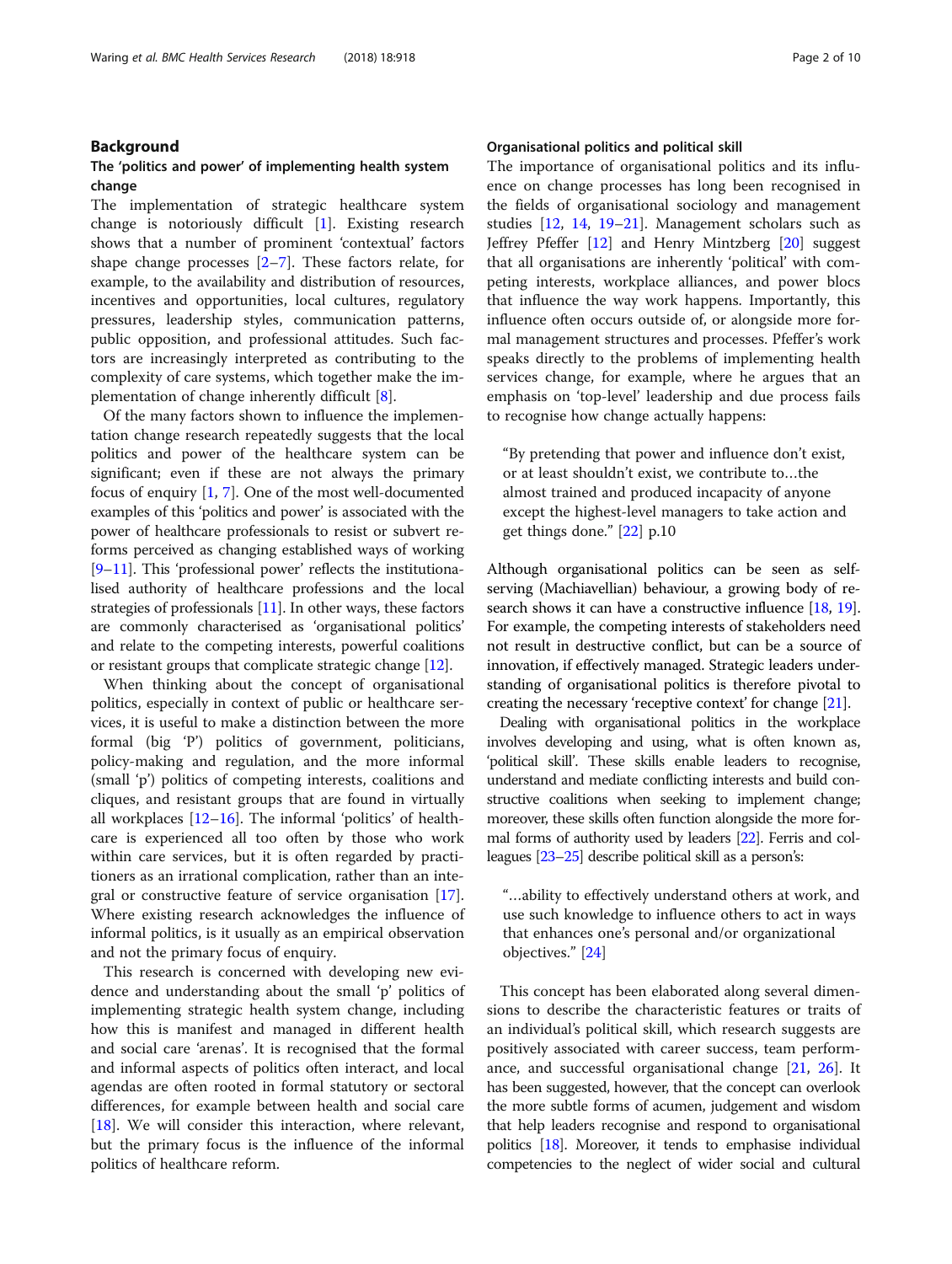## Background

## The 'politics and power' of implementing health system change

The implementation of strategic healthcare system change is notoriously difficult [[1\]](#page-9-0). Existing research shows that a number of prominent 'contextual' factors shape change processes  $[2-7]$  $[2-7]$  $[2-7]$  $[2-7]$  $[2-7]$ . These factors relate, for example, to the availability and distribution of resources, incentives and opportunities, local cultures, regulatory pressures, leadership styles, communication patterns, public opposition, and professional attitudes. Such factors are increasingly interpreted as contributing to the complexity of care systems, which together make the implementation of change inherently difficult [[8\]](#page-9-0).

Of the many factors shown to influence the implementation change research repeatedly suggests that the local politics and power of the healthcare system can be significant; even if these are not always the primary focus of enquiry [\[1](#page-9-0), [7](#page-9-0)]. One of the most well-documented examples of this 'politics and power' is associated with the power of healthcare professionals to resist or subvert reforms perceived as changing established ways of working [[9](#page-9-0)–[11](#page-9-0)]. This 'professional power' reflects the institutionalised authority of healthcare professions and the local strategies of professionals [\[11\]](#page-9-0). In other ways, these factors are commonly characterised as 'organisational politics' and relate to the competing interests, powerful coalitions or resistant groups that complicate strategic change [\[12](#page-9-0)].

When thinking about the concept of organisational politics, especially in context of public or healthcare services, it is useful to make a distinction between the more formal (big 'P') politics of government, politicians, policy-making and regulation, and the more informal (small 'p') politics of competing interests, coalitions and cliques, and resistant groups that are found in virtually all workplaces [\[12](#page-9-0)–[16](#page-9-0)]. The informal 'politics' of healthcare is experienced all too often by those who work within care services, but it is often regarded by practitioners as an irrational complication, rather than an integral or constructive feature of service organisation [\[17](#page-9-0)]. Where existing research acknowledges the influence of informal politics, is it usually as an empirical observation and not the primary focus of enquiry.

This research is concerned with developing new evidence and understanding about the small 'p' politics of implementing strategic health system change, including how this is manifest and managed in different health and social care 'arenas'. It is recognised that the formal and informal aspects of politics often interact, and local agendas are often rooted in formal statutory or sectoral differences, for example between health and social care [[18\]](#page-9-0). We will consider this interaction, where relevant, but the primary focus is the influence of the informal politics of healthcare reform.

## Organisational politics and political skill

The importance of organisational politics and its influence on change processes has long been recognised in the fields of organisational sociology and management studies [[12,](#page-9-0) [14,](#page-9-0) [19](#page-9-0)–[21](#page-9-0)]. Management scholars such as Jeffrey Pfeffer [[12](#page-9-0)] and Henry Mintzberg [[20](#page-9-0)] suggest that all organisations are inherently 'political' with competing interests, workplace alliances, and power blocs that influence the way work happens. Importantly, this influence often occurs outside of, or alongside more formal management structures and processes. Pfeffer's work speaks directly to the problems of implementing health services change, for example, where he argues that an emphasis on 'top-level' leadership and due process fails to recognise how change actually happens:

"By pretending that power and influence don't exist, or at least shouldn't exist, we contribute to…the almost trained and produced incapacity of anyone except the highest-level managers to take action and get things done." [[22\]](#page-9-0) p.10

Although organisational politics can be seen as selfserving (Machiavellian) behaviour, a growing body of re-search shows it can have a constructive influence [\[18,](#page-9-0) [19](#page-9-0)]. For example, the competing interests of stakeholders need not result in destructive conflict, but can be a source of innovation, if effectively managed. Strategic leaders understanding of organisational politics is therefore pivotal to creating the necessary 'receptive context' for change [[21](#page-9-0)].

Dealing with organisational politics in the workplace involves developing and using, what is often known as, 'political skill'. These skills enable leaders to recognise, understand and mediate conflicting interests and build constructive coalitions when seeking to implement change; moreover, these skills often function alongside the more formal forms of authority used by leaders [[22\]](#page-9-0). Ferris and colleagues [\[23](#page-9-0)–[25](#page-9-0)] describe political skill as a person's:

"…ability to effectively understand others at work, and use such knowledge to influence others to act in ways that enhances one's personal and/or organizational objectives." [[24](#page-9-0)]

This concept has been elaborated along several dimensions to describe the characteristic features or traits of an individual's political skill, which research suggests are positively associated with career success, team performance, and successful organisational change [\[21,](#page-9-0) [26\]](#page-9-0). It has been suggested, however, that the concept can overlook the more subtle forms of acumen, judgement and wisdom that help leaders recognise and respond to organisational politics [[18](#page-9-0)]. Moreover, it tends to emphasise individual competencies to the neglect of wider social and cultural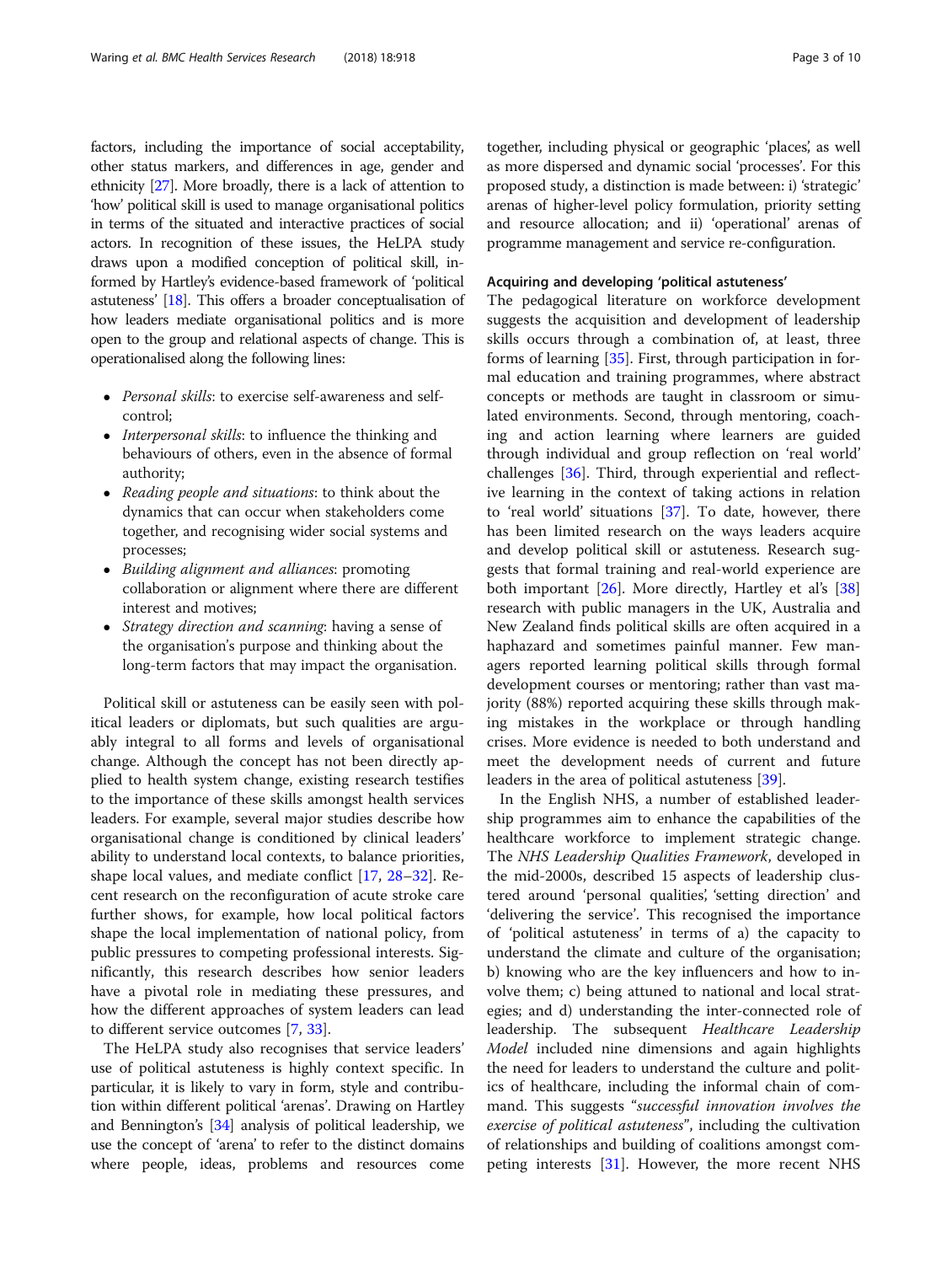factors, including the importance of social acceptability, other status markers, and differences in age, gender and ethnicity [[27](#page-9-0)]. More broadly, there is a lack of attention to 'how' political skill is used to manage organisational politics in terms of the situated and interactive practices of social actors. In recognition of these issues, the HeLPA study draws upon a modified conception of political skill, informed by Hartley's evidence-based framework of 'political astuteness' [\[18](#page-9-0)]. This offers a broader conceptualisation of how leaders mediate organisational politics and is more open to the group and relational aspects of change. This is operationalised along the following lines:

- Personal skills: to exercise self-awareness and selfcontrol;
- Interpersonal skills: to influence the thinking and behaviours of others, even in the absence of formal authority;
- Reading people and situations: to think about the dynamics that can occur when stakeholders come together, and recognising wider social systems and processes;
- Building alignment and alliances: promoting collaboration or alignment where there are different interest and motives;
- Strategy direction and scanning: having a sense of the organisation's purpose and thinking about the long-term factors that may impact the organisation.

Political skill or astuteness can be easily seen with political leaders or diplomats, but such qualities are arguably integral to all forms and levels of organisational change. Although the concept has not been directly applied to health system change, existing research testifies to the importance of these skills amongst health services leaders. For example, several major studies describe how organisational change is conditioned by clinical leaders' ability to understand local contexts, to balance priorities, shape local values, and mediate conflict [\[17,](#page-9-0) [28](#page-9-0)–[32\]](#page-9-0). Recent research on the reconfiguration of acute stroke care further shows, for example, how local political factors shape the local implementation of national policy, from public pressures to competing professional interests. Significantly, this research describes how senior leaders have a pivotal role in mediating these pressures, and how the different approaches of system leaders can lead to different service outcomes [\[7,](#page-9-0) [33\]](#page-9-0).

The HeLPA study also recognises that service leaders' use of political astuteness is highly context specific. In particular, it is likely to vary in form, style and contribution within different political 'arenas'. Drawing on Hartley and Bennington's [\[34\]](#page-9-0) analysis of political leadership, we use the concept of 'arena' to refer to the distinct domains where people, ideas, problems and resources come together, including physical or geographic 'places', as well as more dispersed and dynamic social 'processes'. For this proposed study, a distinction is made between: i) 'strategic' arenas of higher-level policy formulation, priority setting and resource allocation; and ii) 'operational' arenas of programme management and service re-configuration.

## Acquiring and developing 'political astuteness'

The pedagogical literature on workforce development suggests the acquisition and development of leadership skills occurs through a combination of, at least, three forms of learning [\[35](#page-9-0)]. First, through participation in formal education and training programmes, where abstract concepts or methods are taught in classroom or simulated environments. Second, through mentoring, coaching and action learning where learners are guided through individual and group reflection on 'real world' challenges [[36\]](#page-9-0). Third, through experiential and reflective learning in the context of taking actions in relation to 'real world' situations [\[37](#page-9-0)]. To date, however, there has been limited research on the ways leaders acquire and develop political skill or astuteness. Research suggests that formal training and real-world experience are both important  $[26]$  $[26]$ . More directly, Hartley et al's  $[38]$  $[38]$  $[38]$ research with public managers in the UK, Australia and New Zealand finds political skills are often acquired in a haphazard and sometimes painful manner. Few managers reported learning political skills through formal development courses or mentoring; rather than vast majority (88%) reported acquiring these skills through making mistakes in the workplace or through handling crises. More evidence is needed to both understand and meet the development needs of current and future leaders in the area of political astuteness [[39\]](#page-9-0).

In the English NHS, a number of established leadership programmes aim to enhance the capabilities of the healthcare workforce to implement strategic change. The NHS Leadership Qualities Framework, developed in the mid-2000s, described 15 aspects of leadership clustered around 'personal qualities', 'setting direction' and 'delivering the service'. This recognised the importance of 'political astuteness' in terms of a) the capacity to understand the climate and culture of the organisation; b) knowing who are the key influencers and how to involve them; c) being attuned to national and local strategies; and d) understanding the inter-connected role of leadership. The subsequent Healthcare Leadership Model included nine dimensions and again highlights the need for leaders to understand the culture and politics of healthcare, including the informal chain of command. This suggests "successful innovation involves the exercise of political astuteness", including the cultivation of relationships and building of coalitions amongst competing interests [[31](#page-9-0)]. However, the more recent NHS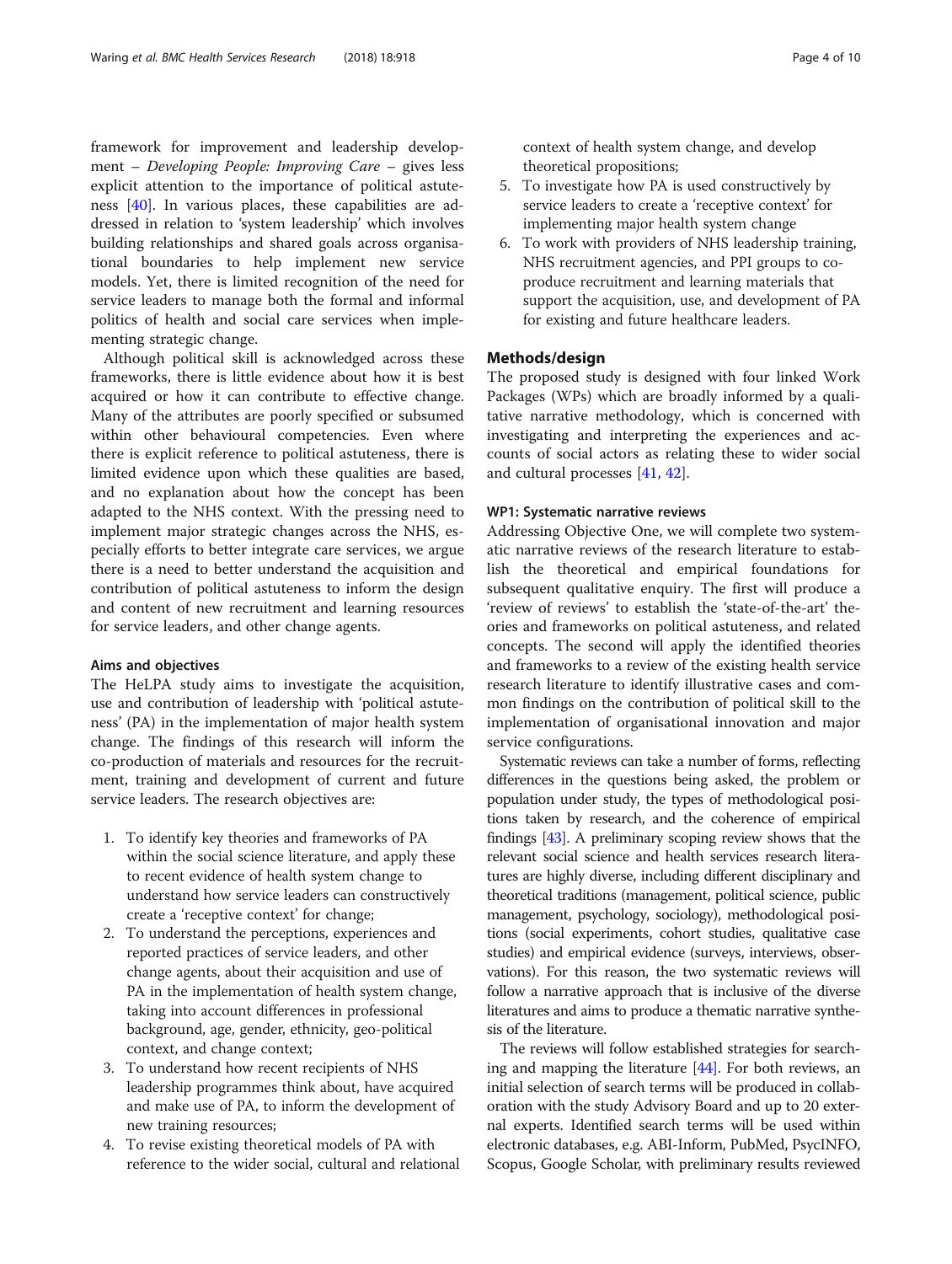framework for improvement and leadership development – Developing People: Improving Care – gives less explicit attention to the importance of political astuteness [\[40](#page-9-0)]. In various places, these capabilities are addressed in relation to 'system leadership' which involves building relationships and shared goals across organisational boundaries to help implement new service models. Yet, there is limited recognition of the need for service leaders to manage both the formal and informal politics of health and social care services when implementing strategic change.

Although political skill is acknowledged across these frameworks, there is little evidence about how it is best acquired or how it can contribute to effective change. Many of the attributes are poorly specified or subsumed within other behavioural competencies. Even where there is explicit reference to political astuteness, there is limited evidence upon which these qualities are based, and no explanation about how the concept has been adapted to the NHS context. With the pressing need to implement major strategic changes across the NHS, especially efforts to better integrate care services, we argue there is a need to better understand the acquisition and contribution of political astuteness to inform the design and content of new recruitment and learning resources for service leaders, and other change agents.

## Aims and objectives

The HeLPA study aims to investigate the acquisition, use and contribution of leadership with 'political astuteness' (PA) in the implementation of major health system change. The findings of this research will inform the co-production of materials and resources for the recruitment, training and development of current and future service leaders. The research objectives are:

- 1. To identify key theories and frameworks of PA within the social science literature, and apply these to recent evidence of health system change to understand how service leaders can constructively create a 'receptive context' for change;
- 2. To understand the perceptions, experiences and reported practices of service leaders, and other change agents, about their acquisition and use of PA in the implementation of health system change, taking into account differences in professional background, age, gender, ethnicity, geo-political context, and change context;
- 3. To understand how recent recipients of NHS leadership programmes think about, have acquired and make use of PA, to inform the development of new training resources;
- 4. To revise existing theoretical models of PA with reference to the wider social, cultural and relational

context of health system change, and develop theoretical propositions;

- 5. To investigate how PA is used constructively by service leaders to create a 'receptive context' for implementing major health system change
- 6. To work with providers of NHS leadership training, NHS recruitment agencies, and PPI groups to coproduce recruitment and learning materials that support the acquisition, use, and development of PA for existing and future healthcare leaders.

## Methods/design

The proposed study is designed with four linked Work Packages (WPs) which are broadly informed by a qualitative narrative methodology, which is concerned with investigating and interpreting the experiences and accounts of social actors as relating these to wider social and cultural processes [[41,](#page-9-0) [42](#page-9-0)].

## WP1: Systematic narrative reviews

Addressing Objective One, we will complete two systematic narrative reviews of the research literature to establish the theoretical and empirical foundations for subsequent qualitative enquiry. The first will produce a 'review of reviews' to establish the 'state-of-the-art' theories and frameworks on political astuteness, and related concepts. The second will apply the identified theories and frameworks to a review of the existing health service research literature to identify illustrative cases and common findings on the contribution of political skill to the implementation of organisational innovation and major service configurations.

Systematic reviews can take a number of forms, reflecting differences in the questions being asked, the problem or population under study, the types of methodological positions taken by research, and the coherence of empirical findings [\[43](#page-9-0)]. A preliminary scoping review shows that the relevant social science and health services research literatures are highly diverse, including different disciplinary and theoretical traditions (management, political science, public management, psychology, sociology), methodological positions (social experiments, cohort studies, qualitative case studies) and empirical evidence (surveys, interviews, observations). For this reason, the two systematic reviews will follow a narrative approach that is inclusive of the diverse literatures and aims to produce a thematic narrative synthesis of the literature.

The reviews will follow established strategies for searching and mapping the literature [\[44](#page-9-0)]. For both reviews, an initial selection of search terms will be produced in collaboration with the study Advisory Board and up to 20 external experts. Identified search terms will be used within electronic databases, e.g. ABI-Inform, PubMed, PsycINFO, Scopus, Google Scholar, with preliminary results reviewed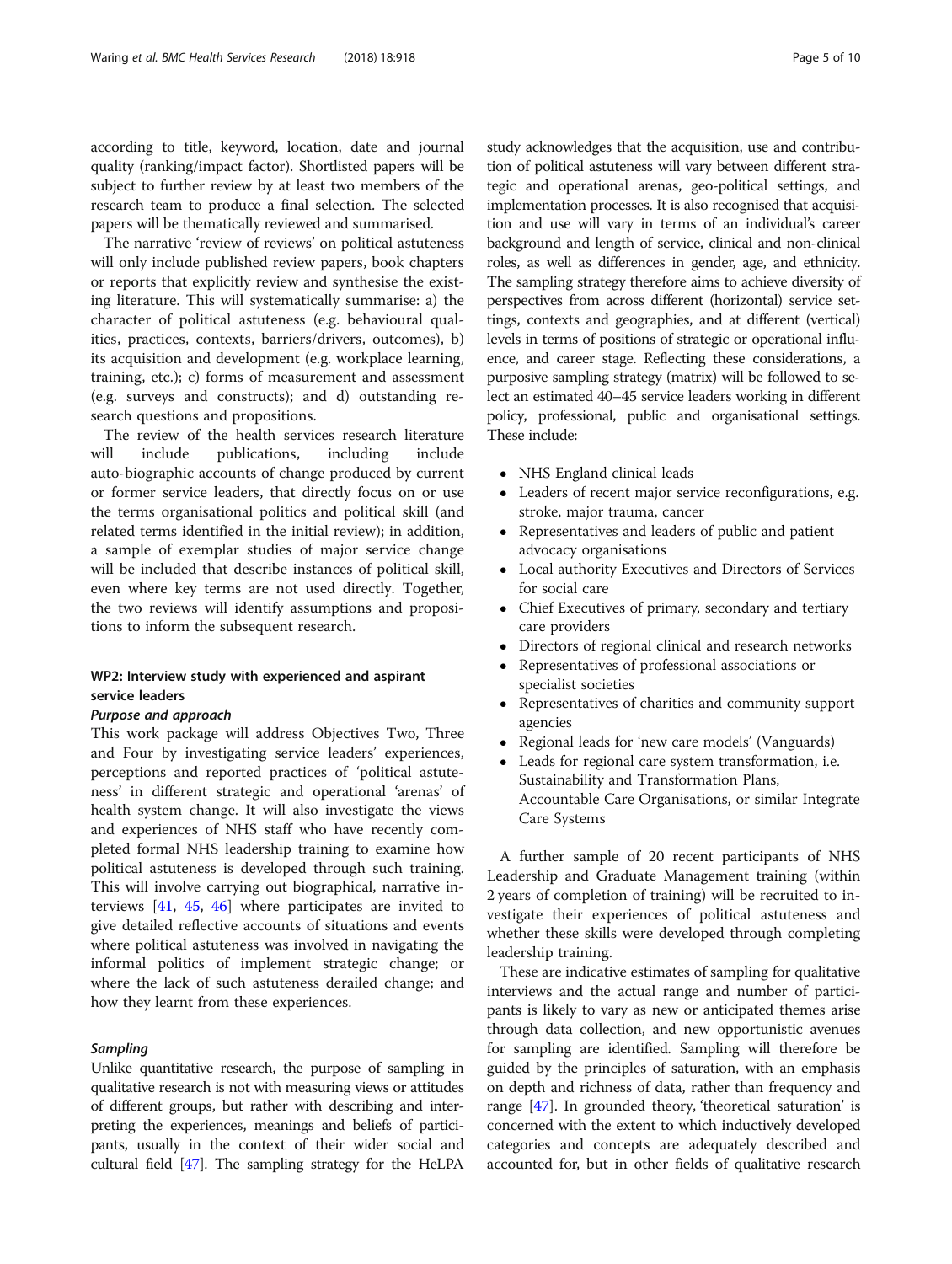according to title, keyword, location, date and journal quality (ranking/impact factor). Shortlisted papers will be subject to further review by at least two members of the research team to produce a final selection. The selected papers will be thematically reviewed and summarised.

The narrative 'review of reviews' on political astuteness will only include published review papers, book chapters or reports that explicitly review and synthesise the existing literature. This will systematically summarise: a) the character of political astuteness (e.g. behavioural qualities, practices, contexts, barriers/drivers, outcomes), b) its acquisition and development (e.g. workplace learning, training, etc.); c) forms of measurement and assessment (e.g. surveys and constructs); and d) outstanding research questions and propositions.

The review of the health services research literature will include publications, including include auto-biographic accounts of change produced by current or former service leaders, that directly focus on or use the terms organisational politics and political skill (and related terms identified in the initial review); in addition, a sample of exemplar studies of major service change will be included that describe instances of political skill, even where key terms are not used directly. Together, the two reviews will identify assumptions and propositions to inform the subsequent research.

## WP2: Interview study with experienced and aspirant service leaders

## Purpose and approach

This work package will address Objectives Two, Three and Four by investigating service leaders' experiences, perceptions and reported practices of 'political astuteness' in different strategic and operational 'arenas' of health system change. It will also investigate the views and experiences of NHS staff who have recently completed formal NHS leadership training to examine how political astuteness is developed through such training. This will involve carrying out biographical, narrative interviews [\[41](#page-9-0), [45](#page-9-0), [46](#page-9-0)] where participates are invited to give detailed reflective accounts of situations and events where political astuteness was involved in navigating the informal politics of implement strategic change; or where the lack of such astuteness derailed change; and how they learnt from these experiences.

## Sampling

Unlike quantitative research, the purpose of sampling in qualitative research is not with measuring views or attitudes of different groups, but rather with describing and interpreting the experiences, meanings and beliefs of participants, usually in the context of their wider social and cultural field [\[47\]](#page-9-0). The sampling strategy for the HeLPA study acknowledges that the acquisition, use and contribution of political astuteness will vary between different strategic and operational arenas, geo-political settings, and implementation processes. It is also recognised that acquisition and use will vary in terms of an individual's career background and length of service, clinical and non-clinical roles, as well as differences in gender, age, and ethnicity. The sampling strategy therefore aims to achieve diversity of perspectives from across different (horizontal) service settings, contexts and geographies, and at different (vertical) levels in terms of positions of strategic or operational influence, and career stage. Reflecting these considerations, a purposive sampling strategy (matrix) will be followed to select an estimated 40–45 service leaders working in different policy, professional, public and organisational settings. These include:

- NHS England clinical leads
- Leaders of recent major service reconfigurations, e.g. stroke, major trauma, cancer
- Representatives and leaders of public and patient advocacy organisations
- Local authority Executives and Directors of Services for social care
- Chief Executives of primary, secondary and tertiary care providers
- Directors of regional clinical and research networks
- Representatives of professional associations or specialist societies
- Representatives of charities and community support agencies
- Regional leads for 'new care models' (Vanguards)
- Leads for regional care system transformation, i.e. Sustainability and Transformation Plans, Accountable Care Organisations, or similar Integrate Care Systems

A further sample of 20 recent participants of NHS Leadership and Graduate Management training (within 2 years of completion of training) will be recruited to investigate their experiences of political astuteness and whether these skills were developed through completing leadership training.

These are indicative estimates of sampling for qualitative interviews and the actual range and number of participants is likely to vary as new or anticipated themes arise through data collection, and new opportunistic avenues for sampling are identified. Sampling will therefore be guided by the principles of saturation, with an emphasis on depth and richness of data, rather than frequency and range [\[47\]](#page-9-0). In grounded theory, 'theoretical saturation' is concerned with the extent to which inductively developed categories and concepts are adequately described and accounted for, but in other fields of qualitative research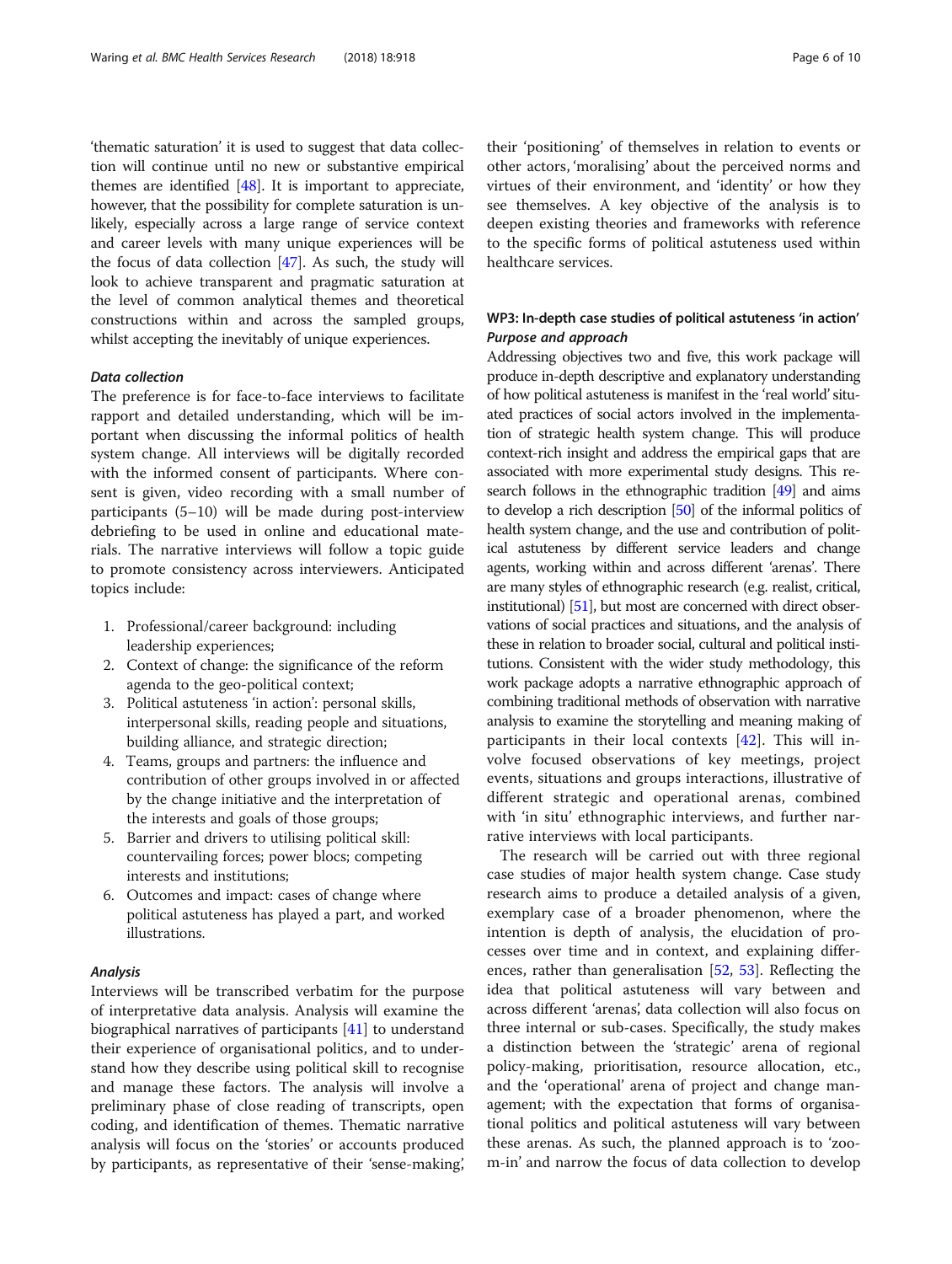'thematic saturation' it is used to suggest that data collection will continue until no new or substantive empirical themes are identified [[48](#page-9-0)]. It is important to appreciate, however, that the possibility for complete saturation is unlikely, especially across a large range of service context and career levels with many unique experiences will be the focus of data collection [[47](#page-9-0)]. As such, the study will look to achieve transparent and pragmatic saturation at the level of common analytical themes and theoretical constructions within and across the sampled groups, whilst accepting the inevitably of unique experiences.

## Data collection

The preference is for face-to-face interviews to facilitate rapport and detailed understanding, which will be important when discussing the informal politics of health system change. All interviews will be digitally recorded with the informed consent of participants. Where consent is given, video recording with a small number of participants (5–10) will be made during post-interview debriefing to be used in online and educational materials. The narrative interviews will follow a topic guide to promote consistency across interviewers. Anticipated topics include:

- 1. Professional/career background: including leadership experiences;
- 2. Context of change: the significance of the reform agenda to the geo-political context;
- 3. Political astuteness 'in action': personal skills, interpersonal skills, reading people and situations, building alliance, and strategic direction;
- 4. Teams, groups and partners: the influence and contribution of other groups involved in or affected by the change initiative and the interpretation of the interests and goals of those groups;
- 5. Barrier and drivers to utilising political skill: countervailing forces; power blocs; competing interests and institutions;
- 6. Outcomes and impact: cases of change where political astuteness has played a part, and worked illustrations.

## Analysis

Interviews will be transcribed verbatim for the purpose of interpretative data analysis. Analysis will examine the biographical narratives of participants [\[41](#page-9-0)] to understand their experience of organisational politics, and to understand how they describe using political skill to recognise and manage these factors. The analysis will involve a preliminary phase of close reading of transcripts, open coding, and identification of themes. Thematic narrative analysis will focus on the 'stories' or accounts produced by participants, as representative of their 'sense-making',

their 'positioning' of themselves in relation to events or other actors, 'moralising' about the perceived norms and virtues of their environment, and 'identity' or how they see themselves. A key objective of the analysis is to deepen existing theories and frameworks with reference to the specific forms of political astuteness used within healthcare services.

## WP3: In-depth case studies of political astuteness 'in action' Purpose and approach

Addressing objectives two and five, this work package will produce in-depth descriptive and explanatory understanding of how political astuteness is manifest in the 'real world'situated practices of social actors involved in the implementation of strategic health system change. This will produce context-rich insight and address the empirical gaps that are associated with more experimental study designs. This research follows in the ethnographic tradition [\[49](#page-9-0)] and aims to develop a rich description [\[50](#page-9-0)] of the informal politics of health system change, and the use and contribution of political astuteness by different service leaders and change agents, working within and across different 'arenas'. There are many styles of ethnographic research (e.g. realist, critical, institutional) [\[51](#page-9-0)], but most are concerned with direct observations of social practices and situations, and the analysis of these in relation to broader social, cultural and political institutions. Consistent with the wider study methodology, this work package adopts a narrative ethnographic approach of combining traditional methods of observation with narrative analysis to examine the storytelling and meaning making of participants in their local contexts [[42\]](#page-9-0). This will involve focused observations of key meetings, project events, situations and groups interactions, illustrative of different strategic and operational arenas, combined with 'in situ' ethnographic interviews, and further narrative interviews with local participants.

The research will be carried out with three regional case studies of major health system change. Case study research aims to produce a detailed analysis of a given, exemplary case of a broader phenomenon, where the intention is depth of analysis, the elucidation of processes over time and in context, and explaining differences, rather than generalisation [[52,](#page-9-0) [53](#page-9-0)]. Reflecting the idea that political astuteness will vary between and across different 'arenas', data collection will also focus on three internal or sub-cases. Specifically, the study makes a distinction between the 'strategic' arena of regional policy-making, prioritisation, resource allocation, etc., and the 'operational' arena of project and change management; with the expectation that forms of organisational politics and political astuteness will vary between these arenas. As such, the planned approach is to 'zoom-in' and narrow the focus of data collection to develop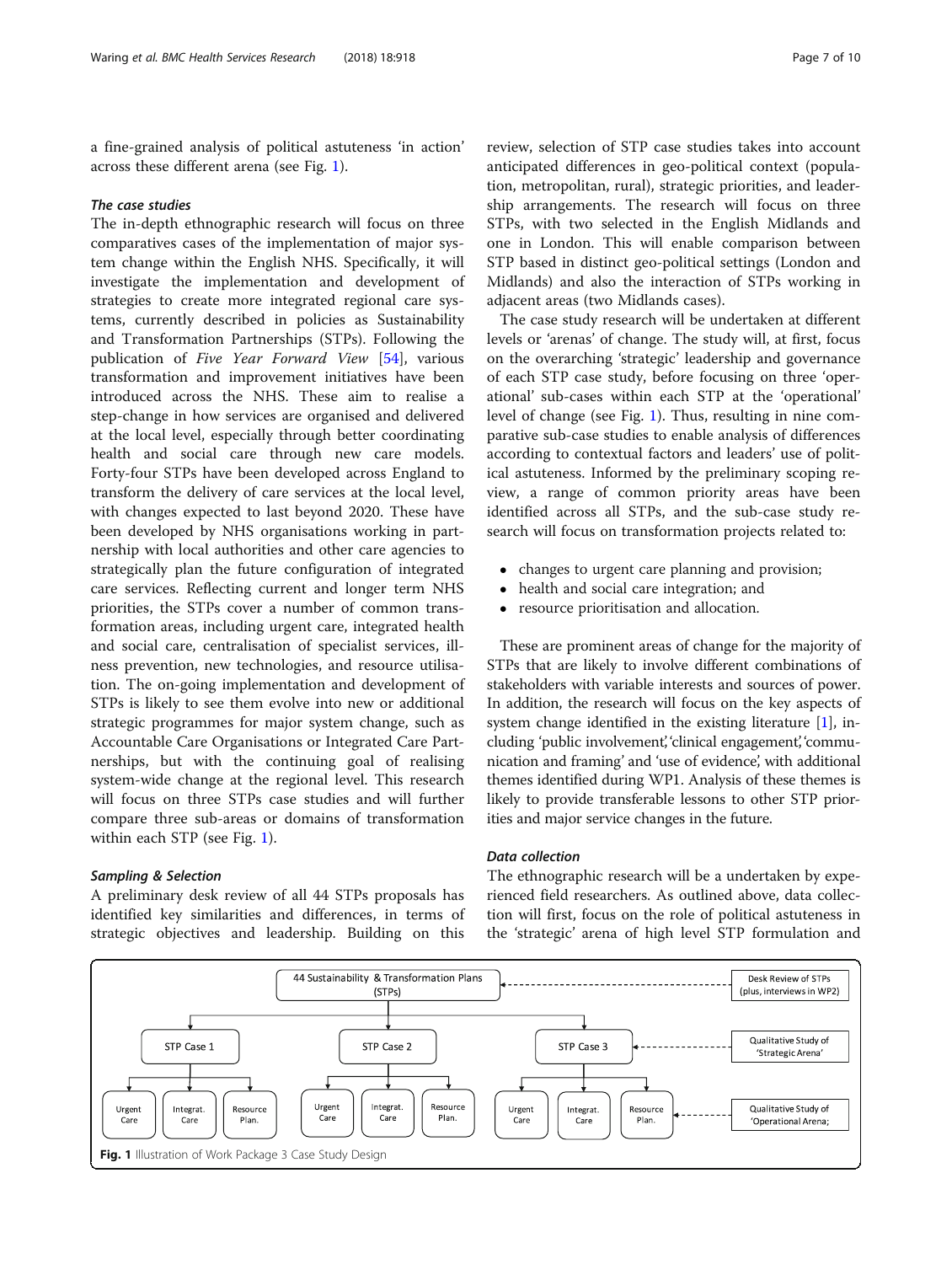a fine-grained analysis of political astuteness 'in action' across these different arena (see Fig. 1).

## The case studies

The in-depth ethnographic research will focus on three comparatives cases of the implementation of major system change within the English NHS. Specifically, it will investigate the implementation and development of strategies to create more integrated regional care systems, currently described in policies as Sustainability and Transformation Partnerships (STPs). Following the publication of Five Year Forward View [[54\]](#page-9-0), various transformation and improvement initiatives have been introduced across the NHS. These aim to realise a step-change in how services are organised and delivered at the local level, especially through better coordinating health and social care through new care models. Forty-four STPs have been developed across England to transform the delivery of care services at the local level, with changes expected to last beyond 2020. These have been developed by NHS organisations working in partnership with local authorities and other care agencies to strategically plan the future configuration of integrated care services. Reflecting current and longer term NHS priorities, the STPs cover a number of common transformation areas, including urgent care, integrated health and social care, centralisation of specialist services, illness prevention, new technologies, and resource utilisation. The on-going implementation and development of STPs is likely to see them evolve into new or additional strategic programmes for major system change, such as Accountable Care Organisations or Integrated Care Partnerships, but with the continuing goal of realising system-wide change at the regional level. This research will focus on three STPs case studies and will further compare three sub-areas or domains of transformation within each STP (see Fig. 1).

## Sampling & Selection

A preliminary desk review of all 44 STPs proposals has identified key similarities and differences, in terms of strategic objectives and leadership. Building on this

review, selection of STP case studies takes into account anticipated differences in geo-political context (population, metropolitan, rural), strategic priorities, and leadership arrangements. The research will focus on three STPs, with two selected in the English Midlands and one in London. This will enable comparison between STP based in distinct geo-political settings (London and Midlands) and also the interaction of STPs working in adjacent areas (two Midlands cases).

The case study research will be undertaken at different levels or 'arenas' of change. The study will, at first, focus on the overarching 'strategic' leadership and governance of each STP case study, before focusing on three 'operational' sub-cases within each STP at the 'operational' level of change (see Fig. 1). Thus, resulting in nine comparative sub-case studies to enable analysis of differences according to contextual factors and leaders' use of political astuteness. Informed by the preliminary scoping review, a range of common priority areas have been identified across all STPs, and the sub-case study research will focus on transformation projects related to:

- changes to urgent care planning and provision;
- health and social care integration; and<br>• resource prioritisation and allocation
- resource prioritisation and allocation.

These are prominent areas of change for the majority of STPs that are likely to involve different combinations of stakeholders with variable interests and sources of power. In addition, the research will focus on the key aspects of system change identified in the existing literature [[1](#page-9-0)], including 'public involvement', 'clinical engagement', 'communication and framing' and 'use of evidence', with additional themes identified during WP1. Analysis of these themes is likely to provide transferable lessons to other STP priorities and major service changes in the future.

## Data collection

The ethnographic research will be a undertaken by experienced field researchers. As outlined above, data collection will first, focus on the role of political astuteness in the 'strategic' arena of high level STP formulation and

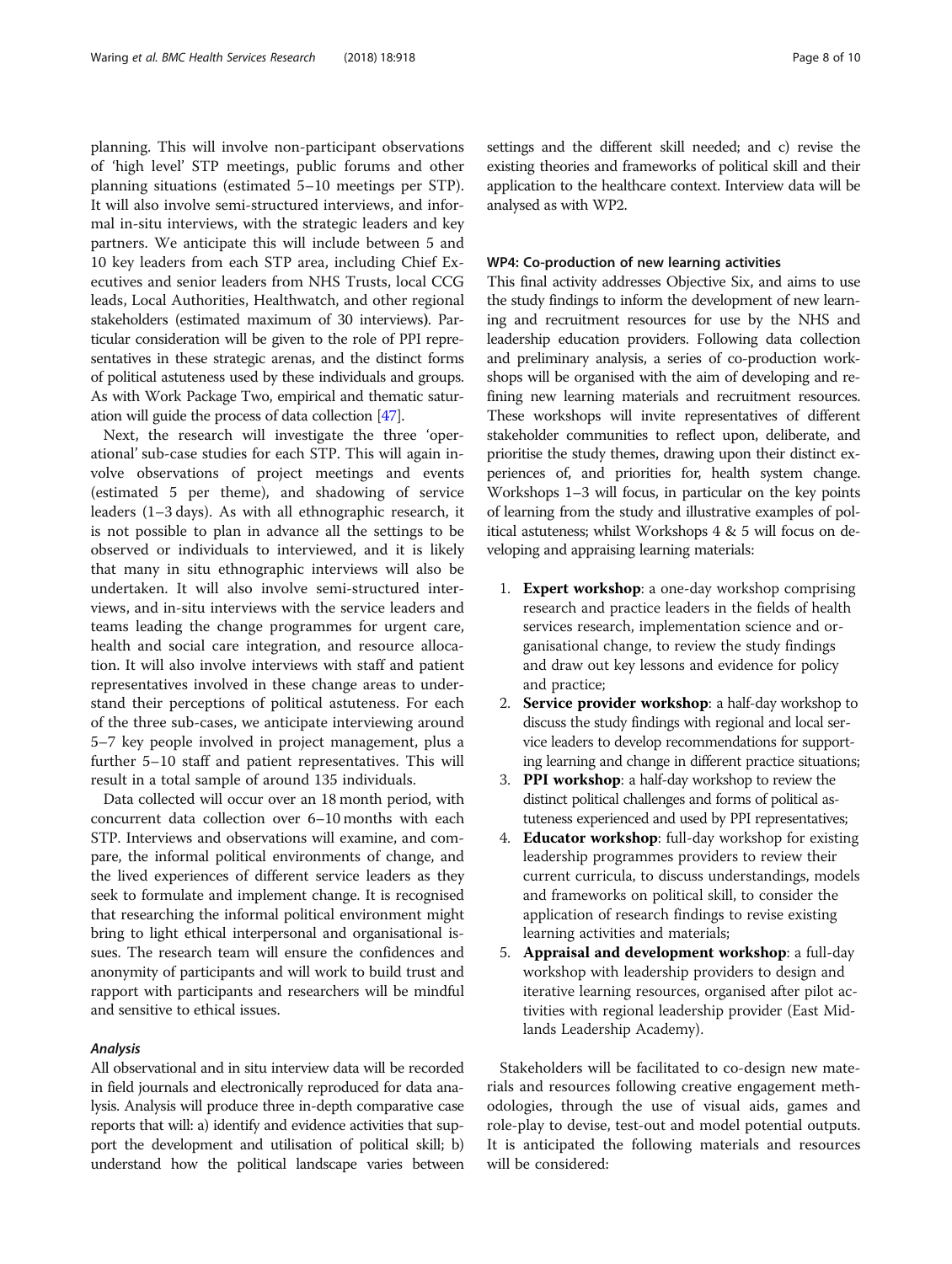planning. This will involve non-participant observations of 'high level' STP meetings, public forums and other planning situations (estimated 5–10 meetings per STP). It will also involve semi-structured interviews, and informal in-situ interviews, with the strategic leaders and key partners. We anticipate this will include between 5 and 10 key leaders from each STP area, including Chief Executives and senior leaders from NHS Trusts, local CCG leads, Local Authorities, Healthwatch, and other regional stakeholders (estimated maximum of 30 interviews). Particular consideration will be given to the role of PPI representatives in these strategic arenas, and the distinct forms of political astuteness used by these individuals and groups. As with Work Package Two, empirical and thematic saturation will guide the process of data collection [[47](#page-9-0)].

Next, the research will investigate the three 'operational' sub-case studies for each STP. This will again involve observations of project meetings and events (estimated 5 per theme), and shadowing of service leaders (1–3 days). As with all ethnographic research, it is not possible to plan in advance all the settings to be observed or individuals to interviewed, and it is likely that many in situ ethnographic interviews will also be undertaken. It will also involve semi-structured interviews, and in-situ interviews with the service leaders and teams leading the change programmes for urgent care, health and social care integration, and resource allocation. It will also involve interviews with staff and patient representatives involved in these change areas to understand their perceptions of political astuteness. For each of the three sub-cases, we anticipate interviewing around 5–7 key people involved in project management, plus a further 5–10 staff and patient representatives. This will result in a total sample of around 135 individuals.

Data collected will occur over an 18 month period, with concurrent data collection over 6–10 months with each STP. Interviews and observations will examine, and compare, the informal political environments of change, and the lived experiences of different service leaders as they seek to formulate and implement change. It is recognised that researching the informal political environment might bring to light ethical interpersonal and organisational issues. The research team will ensure the confidences and anonymity of participants and will work to build trust and rapport with participants and researchers will be mindful and sensitive to ethical issues.

## Analysis

All observational and in situ interview data will be recorded in field journals and electronically reproduced for data analysis. Analysis will produce three in-depth comparative case reports that will: a) identify and evidence activities that support the development and utilisation of political skill; b) understand how the political landscape varies between settings and the different skill needed; and c) revise the existing theories and frameworks of political skill and their application to the healthcare context. Interview data will be analysed as with WP2.

## WP4: Co-production of new learning activities

This final activity addresses Objective Six, and aims to use the study findings to inform the development of new learning and recruitment resources for use by the NHS and leadership education providers. Following data collection and preliminary analysis, a series of co-production workshops will be organised with the aim of developing and refining new learning materials and recruitment resources. These workshops will invite representatives of different stakeholder communities to reflect upon, deliberate, and prioritise the study themes, drawing upon their distinct experiences of, and priorities for, health system change. Workshops 1–3 will focus, in particular on the key points of learning from the study and illustrative examples of political astuteness; whilst Workshops 4 & 5 will focus on developing and appraising learning materials:

- 1. Expert workshop: a one-day workshop comprising research and practice leaders in the fields of health services research, implementation science and organisational change, to review the study findings and draw out key lessons and evidence for policy and practice;
- 2. Service provider workshop: a half-day workshop to discuss the study findings with regional and local service leaders to develop recommendations for supporting learning and change in different practice situations;
- 3. PPI workshop: a half-day workshop to review the distinct political challenges and forms of political astuteness experienced and used by PPI representatives;
- 4. Educator workshop: full-day workshop for existing leadership programmes providers to review their current curricula, to discuss understandings, models and frameworks on political skill, to consider the application of research findings to revise existing learning activities and materials;
- 5. Appraisal and development workshop: a full-day workshop with leadership providers to design and iterative learning resources, organised after pilot activities with regional leadership provider (East Midlands Leadership Academy).

Stakeholders will be facilitated to co-design new materials and resources following creative engagement methodologies, through the use of visual aids, games and role-play to devise, test-out and model potential outputs. It is anticipated the following materials and resources will be considered: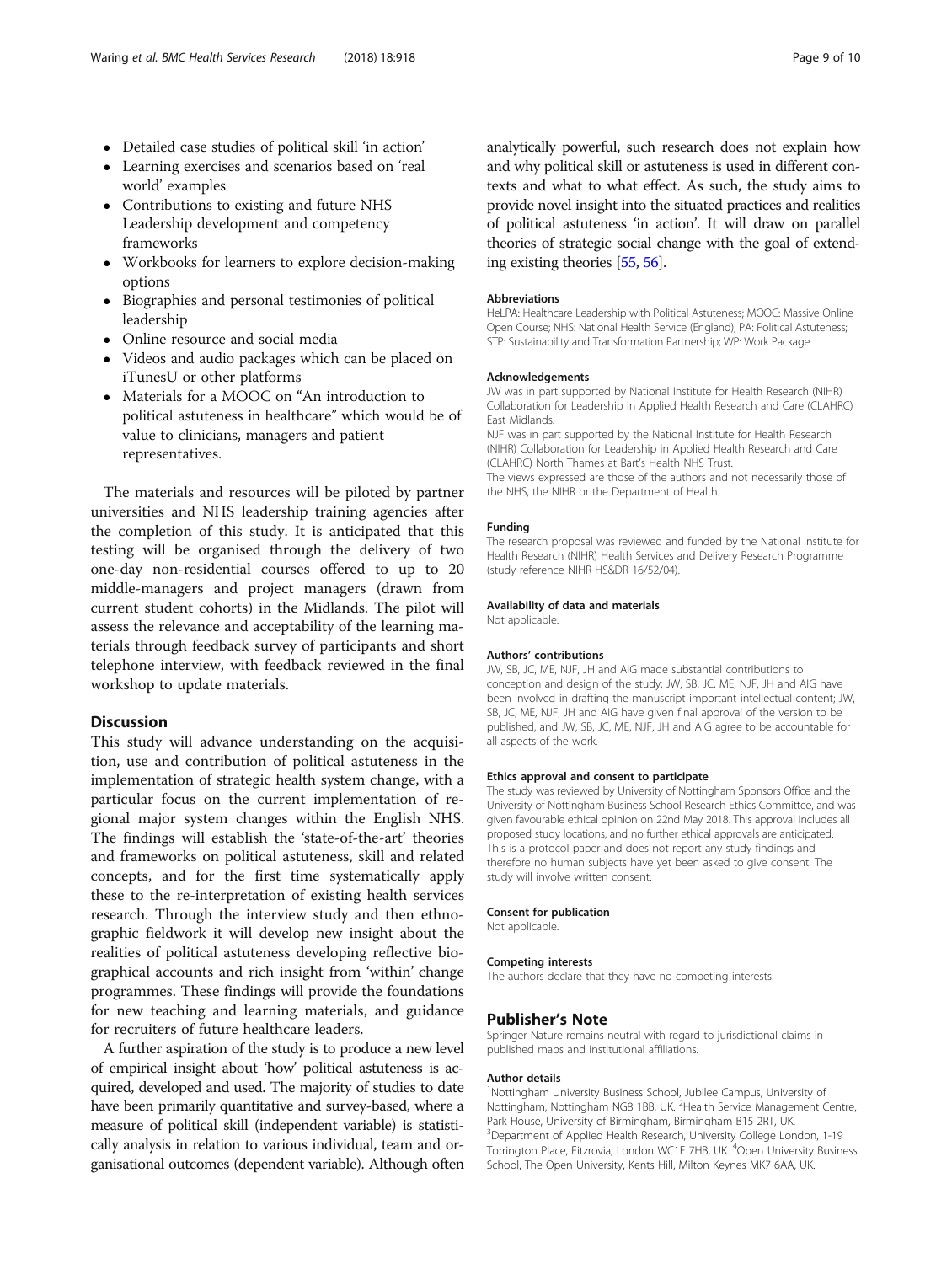- Detailed case studies of political skill 'in action'
- Learning exercises and scenarios based on 'real world' examples
- Contributions to existing and future NHS Leadership development and competency frameworks
- Workbooks for learners to explore decision-making options
- Biographies and personal testimonies of political leadership
- Online resource and social media
- Videos and audio packages which can be placed on iTunesU or other platforms
- Materials for a MOOC on "An introduction to political astuteness in healthcare" which would be of value to clinicians, managers and patient representatives.

The materials and resources will be piloted by partner universities and NHS leadership training agencies after the completion of this study. It is anticipated that this testing will be organised through the delivery of two one-day non-residential courses offered to up to 20 middle-managers and project managers (drawn from current student cohorts) in the Midlands. The pilot will assess the relevance and acceptability of the learning materials through feedback survey of participants and short telephone interview, with feedback reviewed in the final workshop to update materials.

## Discussion

This study will advance understanding on the acquisition, use and contribution of political astuteness in the implementation of strategic health system change, with a particular focus on the current implementation of regional major system changes within the English NHS. The findings will establish the 'state-of-the-art' theories and frameworks on political astuteness, skill and related concepts, and for the first time systematically apply these to the re-interpretation of existing health services research. Through the interview study and then ethnographic fieldwork it will develop new insight about the realities of political astuteness developing reflective biographical accounts and rich insight from 'within' change programmes. These findings will provide the foundations for new teaching and learning materials, and guidance for recruiters of future healthcare leaders.

A further aspiration of the study is to produce a new level of empirical insight about 'how' political astuteness is acquired, developed and used. The majority of studies to date have been primarily quantitative and survey-based, where a measure of political skill (independent variable) is statistically analysis in relation to various individual, team and organisational outcomes (dependent variable). Although often

analytically powerful, such research does not explain how and why political skill or astuteness is used in different contexts and what to what effect. As such, the study aims to provide novel insight into the situated practices and realities of political astuteness 'in action'. It will draw on parallel theories of strategic social change with the goal of extending existing theories [[55,](#page-9-0) [56\]](#page-9-0).

#### Abbreviations

HeLPA: Healthcare Leadership with Political Astuteness; MOOC: Massive Online Open Course; NHS: National Health Service (England); PA: Political Astuteness; STP: Sustainability and Transformation Partnership; WP: Work Package

#### Acknowledgements

JW was in part supported by National Institute for Health Research (NIHR) Collaboration for Leadership in Applied Health Research and Care (CLAHRC) East Midlands.

NJF was in part supported by the National Institute for Health Research (NIHR) Collaboration for Leadership in Applied Health Research and Care (CLAHRC) North Thames at Bart's Health NHS Trust. The views expressed are those of the authors and not necessarily those of the NHS, the NIHR or the Department of Health.

## Funding

The research proposal was reviewed and funded by the National Institute for Health Research (NIHR) Health Services and Delivery Research Programme (study reference NIHR HS&DR 16/52/04).

#### Availability of data and materials

Not applicable.

#### Authors' contributions

JW, SB, JC, ME, NJF, JH and AIG made substantial contributions to conception and design of the study; JW, SB, JC, ME, NJF, JH and AIG have been involved in drafting the manuscript important intellectual content; JW, SB, JC, ME, NJF, JH and AIG have given final approval of the version to be published, and JW, SB, JC, ME, NJF, JH and AIG agree to be accountable for all aspects of the work.

#### Ethics approval and consent to participate

The study was reviewed by University of Nottingham Sponsors Office and the University of Nottingham Business School Research Ethics Committee, and was given favourable ethical opinion on 22nd May 2018. This approval includes all proposed study locations, and no further ethical approvals are anticipated. This is a protocol paper and does not report any study findings and therefore no human subjects have yet been asked to give consent. The study will involve written consent.

#### Consent for publication

Not applicable.

#### Competing interests

The authors declare that they have no competing interests.

## Publisher's Note

Springer Nature remains neutral with regard to jurisdictional claims in published maps and institutional affiliations.

## Author details

<sup>1</sup>Nottingham University Business School, Jubilee Campus, University of Nottingham, Nottingham NG8 1BB, UK. <sup>2</sup>Health Service Management Centre, Park House, University of Birmingham, Birmingham B15 2RT, UK. <sup>3</sup>Department of Applied Health Research, University College London, 1-19 Torrington Place, Fitzrovia, London WC1E 7HB, UK. <sup>4</sup>Open University Business School, The Open University, Kents Hill, Milton Keynes MK7 6AA, UK.